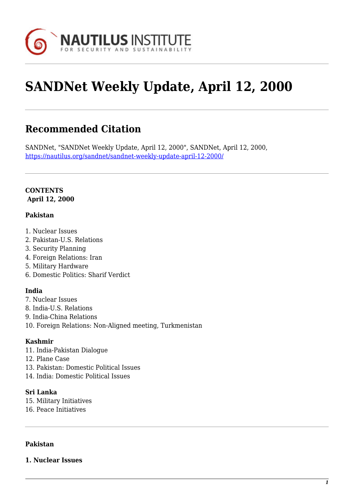

# **SANDNet Weekly Update, April 12, 2000**

# **Recommended Citation**

SANDNet, "SANDNet Weekly Update, April 12, 2000", SANDNet, April 12, 2000, <https://nautilus.org/sandnet/sandnet-weekly-update-april-12-2000/>

#### **CONTENTS April 12, 2000**

#### **Pakistan**

- 1. Nuclear Issues
- 2. Pakistan-U.S. Relations
- 3. Security Planning
- 4. Foreign Relations: Iran
- 5. Military Hardware
- 6. Domestic Politics: Sharif Verdict

#### **India**

- 7. Nuclear Issues
- 8. India-U.S. Relations
- 9. India-China Relations
- 10. Foreign Relations: Non-Aligned meeting, Turkmenistan

#### **Kashmir**

- 11. India-Pakistan Dialogue
- 12. Plane Case
- 13. Pakistan: Domestic Political Issues
- 14. India: Domestic Political Issues

#### **Sri Lanka**

- 15. Military Initiatives
- 16. Peace Initiatives

#### **Pakistan**

**1. Nuclear Issues**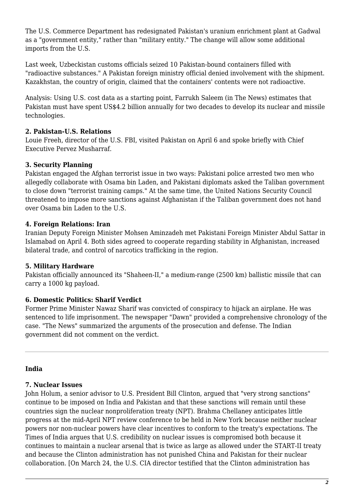The U.S. Commerce Department has redesignated Pakistan's uranium enrichment plant at Gadwal as a "government entity," rather than "military entity." The change will allow some additional imports from the U.S.

Last week, Uzbeckistan customs officials seized 10 Pakistan-bound containers filled with "radioactive substances." A Pakistan foreign ministry official denied involvement with the shipment. Kazakhstan, the country of origin, claimed that the containers' contents were not radioactive.

Analysis: Using U.S. cost data as a starting point, Farrukh Saleem (in The News) estimates that Pakistan must have spent US\$4.2 billion annually for two decades to develop its nuclear and missile technologies.

#### **2. Pakistan-U.S. Relations**

Louie Freeh, director of the U.S. FBI, visited Pakistan on April 6 and spoke briefly with Chief Executive Pervez Musharraf.

### **3. Security Planning**

Pakistan engaged the Afghan terrorist issue in two ways: Pakistani police arrested two men who allegedly collaborate with Osama bin Laden, and Pakistani diplomats asked the Taliban government to close down "terrorist training camps." At the same time, the United Nations Security Council threatened to impose more sanctions against Afghanistan if the Taliban government does not hand over Osama bin Laden to the U.S.

### **4. Foreign Relations: Iran**

Iranian Deputy Foreign Minister Mohsen Aminzadeh met Pakistani Foreign Minister Abdul Sattar in Islamabad on April 4. Both sides agreed to cooperate regarding stability in Afghanistan, increased bilateral trade, and control of narcotics trafficking in the region.

#### **5. Military Hardware**

Pakistan officially announced its "Shaheen-II," a medium-range (2500 km) ballistic missile that can carry a 1000 kg payload.

# **6. Domestic Politics: Sharif Verdict**

Former Prime Minister Nawaz Sharif was convicted of conspiracy to hijack an airplane. He was sentenced to life imprisonment. The newspaper "Dawn" provided a comprehensive chronology of the case. "The News" summarized the arguments of the prosecution and defense. The Indian government did not comment on the verdict.

#### **India**

#### **7. Nuclear Issues**

John Holum, a senior advisor to U.S. President Bill Clinton, argued that "very strong sanctions" continue to be imposed on India and Pakistan and that these sanctions will remain until these countries sign the nuclear nonproliferation treaty (NPT). Brahma Chellaney anticipates little progress at the mid-April NPT review conference to be held in New York because neither nuclear powers nor non-nuclear powers have clear incentives to conform to the treaty's expectations. The Times of India argues that U.S. credibility on nuclear issues is compromised both because it continues to maintain a nuclear arsenal that is twice as large as allowed under the START-II treaty and because the Clinton administration has not punished China and Pakistan for their nuclear collaboration. [On March 24, the U.S. CIA director testified that the Clinton administration has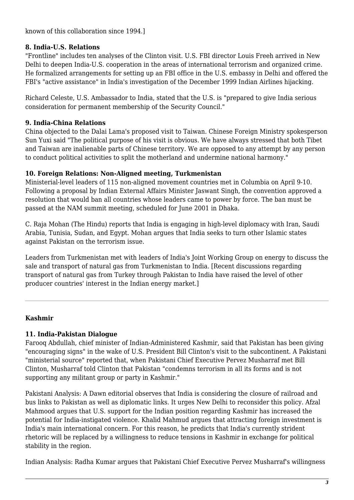known of this collaboration since 1994.]

#### **8. India-U.S. Relations**

"Frontline" includes ten analyses of the Clinton visit. U.S. FBI director Louis Freeh arrived in New Delhi to deepen India-U.S. cooperation in the areas of international terrorism and organized crime. He formalized arrangements for setting up an FBI office in the U.S. embassy in Delhi and offered the FBI's "active assistance" in India's investigation of the December 1999 Indian Airlines hijacking.

Richard Celeste, U.S. Ambassador to India, stated that the U.S. is "prepared to give India serious consideration for permanent membership of the Security Council."

#### **9. India-China Relations**

China objected to the Dalai Lama's proposed visit to Taiwan. Chinese Foreign Ministry spokesperson Sun Yuxi said "The political purpose of his visit is obvious. We have always stressed that both Tibet and Taiwan are inalienable parts of Chinese territory. We are opposed to any attempt by any person to conduct political activities to split the motherland and undermine national harmony."

### **10. Foreign Relations: Non-Aligned meeting, Turkmenistan**

Ministerial-level leaders of 115 non-aligned movement countries met in Columbia on April 9-10. Following a proposal by Indian External Affairs Minister Jaswant Singh, the convention approved a resolution that would ban all countries whose leaders came to power by force. The ban must be passed at the NAM summit meeting, scheduled for June 2001 in Dhaka.

C. Raja Mohan (The Hindu) reports that India is engaging in high-level diplomacy with Iran, Saudi Arabia, Tunisia, Sudan, and Egypt. Mohan argues that India seeks to turn other Islamic states against Pakistan on the terrorism issue.

Leaders from Turkmenistan met with leaders of India's Joint Working Group on energy to discuss the sale and transport of natural gas from Turkmenistan to India. [Recent discussions regarding transport of natural gas from Turkey through Pakistan to India have raised the level of other producer countries' interest in the Indian energy market.]

# **Kashmir**

# **11. India-Pakistan Dialogue**

Farooq Abdullah, chief minister of Indian-Administered Kashmir, said that Pakistan has been giving "encouraging signs" in the wake of U.S. President Bill Clinton's visit to the subcontinent. A Pakistani "ministerial source" reported that, when Pakistani Chief Executive Pervez Musharraf met Bill Clinton, Musharraf told Clinton that Pakistan "condemns terrorism in all its forms and is not supporting any militant group or party in Kashmir."

Pakistani Analysis: A Dawn editorial observes that India is considering the closure of railroad and bus links to Pakistan as well as diplomatic links. It urges New Delhi to reconsider this policy. Afzal Mahmood argues that U.S. support for the Indian position regarding Kashmir has increased the potential for India-instigated violence. Khalid Mahmud argues that attracting foreign investment is India's main international concern. For this reason, he predicts that India's currently strident rhetoric will be replaced by a willingness to reduce tensions in Kashmir in exchange for political stability in the region.

Indian Analysis: Radha Kumar argues that Pakistani Chief Executive Pervez Musharraf's willingness